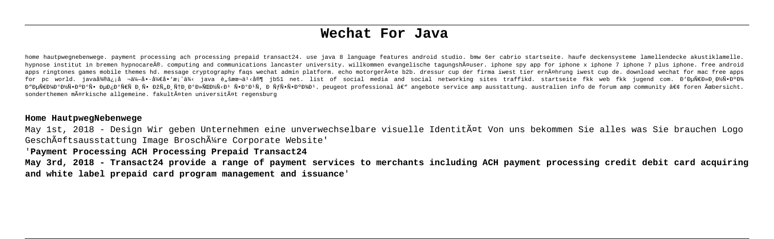# **Wechat For Java**

home hautpwegnebenwege. payment processing ach processing prepaid transact24. use java 8 language features android studio. bmw 6er cabrio startseite. haufe deckensysteme lamellendecke akustiklamelle. hypnose institut in bremen hypnocare®. computing and communications lancaster university. willkommen evangelische tagungshäuser. iphone spy app for iphone x iphone 7 iphone 7 plus iphone. free android apps ringtones games mobile themes hd. message cryptography faqs wechat admin platform. echo motorgeräte b2b. dressur cup der firma iwest tier ernährung iwest cup de. download wechat for mac free apps for pc world. java微信å ¬ä¼—å•·å¼€å•'æ¡^ä¾< java è"šæœ¬ä½å®¶ jb51 net. list of social media and social networking sites traffikd. startseite fkk web fkk jugend com. Đ'ĐuÑ€Đ»Đ Đ½Ñ•ĐºĐ¾ Đ≞ĐWĀPP∰Ñ•ĐºĐ∰Ñ•ĐºĎºÑ• ĐuĐ≠Đ©ÑEÑ Đ Ñ• ĐºĎ. ĎHÞ ĐºĐ»ÑŒĐ≫ÑKĐ4 Ñ•ĐºĐ¥Ñ - ĐHQ DE DE DE DE DESSional â∈ angebote service amp ausstattung, australien info de forum amp community â∈¢ foren Übersicht. sonderthemen mägrkische allgemeine. fakultägten universitägt regensburg

#### **Home HautpwegNebenwege**

May 1st, 2018 - Design Wir geben Unternehmen eine unverwechselbare visuelle Identität Von uns bekommen Sie alles was Sie brauchen Logo Geschäftsausstattung Image Broschüre Corporate Website'

# '**Payment Processing ACH Processing Prepaid Transact24**

**May 3rd, 2018 - Transact24 provide a range of payment services to merchants including ACH payment processing credit debit card acquiring and white label prepaid card program management and issuance**'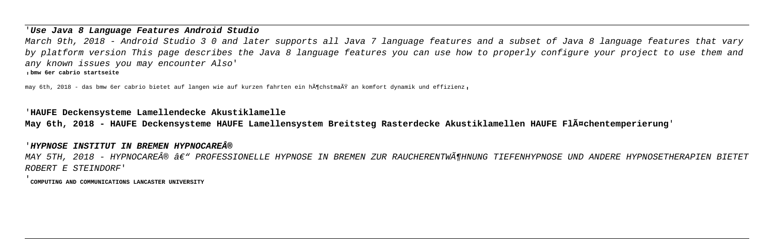#### '**Use Java 8 Language Features Android Studio**

March 9th, 2018 - Android Studio 3 0 and later supports all Java 7 language features and a subset of Java 8 language features that vary by platform version This page describes the Java 8 language features you can use how to properly configure your project to use them and any known issues you may encounter Also' '**bmw 6er cabrio startseite**

may 6th, 2018 - das bmw 6er cabrio bietet auf langen wie auf kurzen fahrten ein hĶchstmaÄŸ an komfort dynamik und effizienz,

# '**HAUFE Deckensysteme Lamellendecke Akustiklamelle**

**May 6th, 2018 - HAUFE Deckensysteme HAUFE Lamellensystem Breitsteg Rasterdecke Akustiklamellen HAUFE Flächentemperierung**'

# '**HYPNOSE INSTITUT IN BREMEN HYPNOCARE®**

MAY 5TH, 2018 - HYPNOCARE® â€" PROFESSIONELLE HYPNOSE IN BREMEN ZUR RAUCHERENTWöHNUNG TIEFENHYPNOSE UND ANDERE HYPNOSETHERAPIEN BIETET ROBERT E STEINDORF'

'**COMPUTING AND COMMUNICATIONS LANCASTER UNIVERSITY**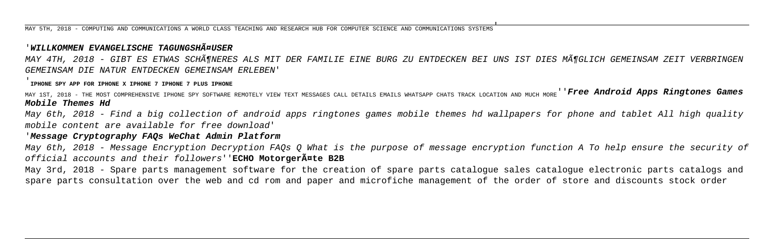MAY 5TH, 2018 - COMPUTING AND COMMUNICATIONS A WORLD CLASS TEACHING AND RESEARCH HUB FOR COMPUTER SCIENCE AND COMMUNICATIONS SYSTEMS'

# **WILLKOMMEN EVANGELISCHE TAGUNGSHĤUSER**

MAY 4TH, 2018 - GIBT ES ETWAS SCHöNERES ALS MIT DER FAMILIE EINE BURG ZU ENTDECKEN BEI UNS IST DIES MöGLICH GEMEINSAM ZEIT VERBRINGEN GEMEINSAM DIE NATUR ENTDECKEN GEMEINSAM ERLEBEN'

'**IPHONE SPY APP FOR IPHONE X IPHONE 7 IPHONE 7 PLUS IPHONE**

MAY 1ST, 2018 - THE MOST COMPREHENSIVE IPHONE SPY SOFTWARE REMOTELY VIEW TEXT MESSAGES CALL DETAILS EMAILS WHATSAPP CHATS TRACK LOCATION AND MUCH MORE''**Free Android Apps Ringtones Games Mobile Themes Hd**

May 6th, 2018 - Find a big collection of android apps ringtones games mobile themes hd wallpapers for phone and tablet All high quality mobile content are available for free download'

# '**Message Cryptography FAQs WeChat Admin Platform**

May 6th, 2018 - Message Encryption Decryption FAQs Q What is the purpose of message encryption function A To help ensure the security of official accounts and their followers''**ECHO Motorgeräte B2B**

May 3rd, 2018 - Spare parts management software for the creation of spare parts catalogue sales catalogue electronic parts catalogs and spare parts consultation over the web and cd rom and paper and microfiche management of the order of store and discounts stock order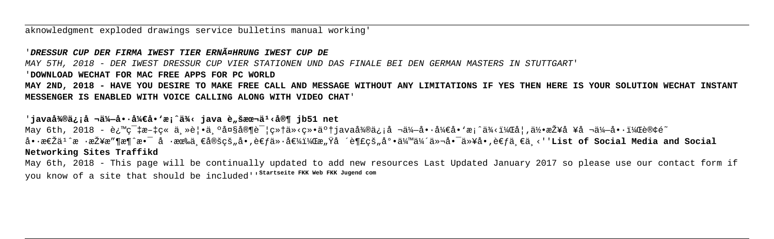aknowledgment exploded drawings service bulletins manual working

### DRESSUR CUP DER FIRMA TWEST TIER ERNÄGHRUNG TWEST CUP DE

MAY 5TH, 2018 - DER IWEST DRESSUR CUP VIER STATIONEN UND DAS FINALE BEI DEN GERMAN MASTERS IN STUTTGART'

#### 'DOWNLOAD WECHAT FOR MAC FREE APPS FOR PC WORLD

MAY 2ND, 2018 - HAVE YOU DESIRE TO MAKE FREE CALL AND MESSAGE WITHOUT ANY LIMITATIONS IF YES THEN HERE IS YOUR SOLUTION WECHAT INSTANT MESSENGER IS ENABLED WITH VOICE CALLING ALONG WITH VIDEO CHAT'

#### 'java微信å ¬ä¼—å••å¼€å•'æ¡^ä¾< java è"šæœ¬ä1<å®¶ jb51 net

May 6th, 2018 - è¿™c¨‡æ-‡c« ä »è¦•ä ºå¤§å®¶è¯¦c»†ä»<c»•了java微信å ¬ä¼-å••å¼∈å•∙æ¦^ä¾<,å¦,何接å ¥å ¬ä¼-啕,订é~ 啷怎ä<sup>1</sup>^æ ·æŽ¥æ″¶æ¶^æ•ī å ·æœ‰ä €å®šcš…å•.考价值,æ…Ÿå ´è¶£cš…底伙伴们啯以å•.考ä €ä <''List of Social Media and Social Networking Sites Traffikd

May 6th, 2018 - This page will be continually updated to add new resources Last Updated January 2017 so please use our contact form if you know of a site that should be included<sup>1</sup> 'startseite FKK Web FKK Jugend com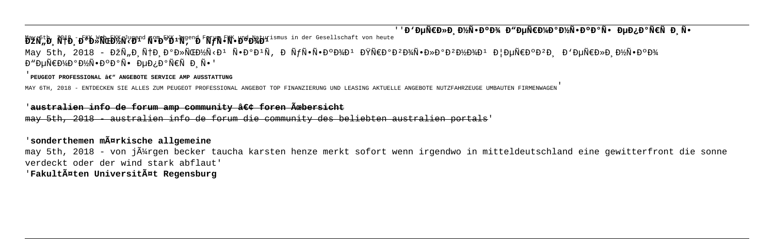''**B'DuрлРĐ'∕Ñ•Đ°Đ'∡ Đ"ĐuÑ€Đ'∕аĐ'∕Ñ**•ĐºĐºÑ• ĐuĐ¿Đ°Ñ€Ñ Đ Ñ•

May 6th, 2018 - FKK Web FKK Jugend com FKK Jugend Farum FKK und Naturismus in der Gesellschaft von heute<br>**DZN,D, NTD, D<sup>6</sup>D»NCD/N<D<sup>1</sup> N●D<sup>6</sup>D+N, D NJN●N●D<sup>6</sup>D/D/D** May 5th, 2018 - ĐŽÑ Đứ HĐ ĐºĐ»ÑŒĐ½Ñ<Đ1 Ñ•ĐºĐ1Ñ, ĐứѕѕĐºĐ¾D1 ĐŸÑ€ĐºĐºĐ½N»ĐºĐºĐ½Đ¾D1 ЦĐuÑ€ĐºĐºĐ, Đ'ĐuÑ€Đ»Đ Đ½Ñ•ĐºĐ¾ Đ"ĐuÑ€Đ¼Đ°Đ¼Ñ•Đ°Đ°Ñ• ĐuĐ;аÑ€Ñ Đ Ñ•'

#### PEUGEOT PROFESSIONAL  $\hat{\mathcal{H}}^W$  ANGEBOTE SERVICE AMP AUSSTATTUNG

MAY 6TH, 2018 - ENTDECKEN SIE ALLES ZUM PEUGEOT PROFESSIONAL ANGEBOT TOP FINANZIERUNG UND LEASING AKTUELLE ANGEBOTE NUTZFAHRZEUGE UMBAUTEN FIRMENWAGEN'

# '**australien info de forum amp community • foren Übersicht**

may 5th, 2018 - australien info de forum die community des beliebten australien portals'

# '**sonderthemen märkische allgemeine**

may 5th, 2018 - von jĥrgen becker taucha karsten henze merkt sofort wenn irgendwo in mitteldeutschland eine gewitterfront die sonne verdeckt oder der wind stark abflaut'

'**Fakultäten Universität Regensburg**